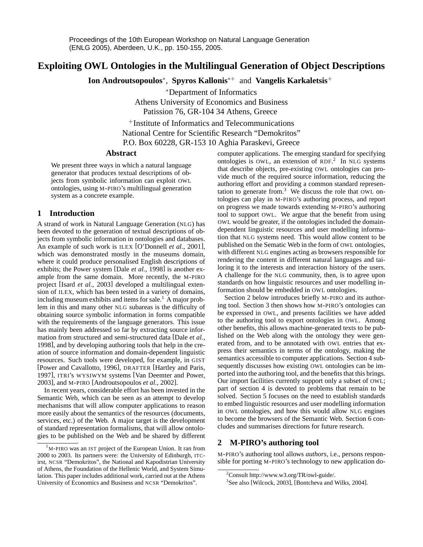# **Exploiting OWL Ontologies in the Multilingual Generation of Object Descriptions**

**Ion Androutsopoulos**<sup>∗</sup> , **Spyros Kallonis**<sup>∗</sup><sup>+</sup> and **Vangelis Karkaletsis**<sup>+</sup>

<sup>∗</sup>Department of Informatics Athens University of Economics and Business Patission 76, GR-104 34 Athens, Greece

<sup>+</sup>Institute of Informatics and Telecommunications National Centre for Scientific Research "Demokritos" P.O. Box 60228, GR-153 10 Aghia Paraskevi, Greece

# **Abstract**

We present three ways in which a natural language generator that produces textual descriptions of objects from symbolic information can exploit OWL ontologies, using M-PIRO's multilingual generation system as a concrete example.

# **1 Introduction**

A strand of work in Natural Language Generation (NLG) has been devoted to the generation of textual descriptions of objects from symbolic information in ontologies and databases. An example of such work is ILEX [O'Donnell *et al.*, 2001], which was demonstrated mostly in the museums domain, where it could produce personalised English descriptions of exhibits; the Power system [Dale *et al.*, 1998] is another example from the same domain. More recently, the M-PIRO project [Isard *et al.*, 2003] developed a multilingual extension of ILEX, which has been tested in a variety of domains, including museum exhibits and items for sale.<sup>1</sup> A major problem in this and many other NLG subareas is the difficulty of obtaining source symbolic information in forms compatible with the requirements of the language generators. This issue has mainly been addressed so far by extracting source information from structured and semi-structured data [Dale *et al.*, 1998], and by developing authoring tools that help in the creation of source information and domain-dependent linguistic resources. Such tools were developed, for example, in GIST [Power and Cavallotto, 1996], DRAFTER [Hartley and Paris, 1997], ITRI's WYSIWYM systems [Van Deemter and Power, 2003], and M-PIRO [Androutsopoulos *et al.*, 2002].

In recent years, considerable effort has been invested in the Semantic Web, which can be seen as an attempt to develop mechanisms that will allow computer applications to reason more easily about the semantics of the resources (documents, services, etc.) of the Web. A major target is the development of standard representation formalisms, that will allow ontologies to be published on the Web and be shared by different computer applications. The emerging standard for specifying ontologies is OWL, an extension of RDF. 2 In NLG systems that describe objects, pre-existing OWL ontologies can provide much of the required source information, reducing the authoring effort and providing a common standard representation to generate from.<sup>3</sup> We discuss the role that OWL ontologies can play in M-PIRO's authoring process, and report on progress we made towards extending M-PIRO's authoring tool to support OWL. We argue that the benefit from using OWL would be greater, if the ontologies included the domaindependent linguistic resources and user modelling information that NLG systems need. This would allow content to be published on the Sematic Web in the form of OWL ontologies, with different NLG engines acting as browsers responsible for rendering the content in different natural languages and tailoring it to the interests and interaction history of the users. A challenge for the NLG community, then, is to agree upon standards on how linguistic resources and user modelling information should be embedded in OWL ontologies.

Section 2 below introduces briefly M-PIRO and its authoring tool. Section 3 then shows how M-PIRO's ontologies can be expressed in OWL, and presents facilities we have added to the authoring tool to export ontologies in OWL. Among other benefits, this allows machine-generated texts to be published on the Web along with the ontology they were generated from, and to be annotated with OWL entries that express their semantics in terms of the ontology, making the semantics accessible to computer applications. Section 4 subsequently discusses how existing OWL ontologies can be imported into the authoring tool, and the benefits that this brings. Our import facilities currently support only a subset of OWL; part of section 4 is devoted to problems that remain to be solved. Section 5 focuses on the need to establish standards to embed linguistic resources and user modelling information in OWL ontologies, and how this would allow NLG engines to become the browsers of the Semantic Web. Section 6 concludes and summarises directions for future research.

# **2 M-PIRO's authoring tool**

M-PIRO's authoring tool allows *authors*, i.e., persons responsible for porting M-PIRO's technology to new application do-

 $1<sup>1</sup>$ M-PIRO was an IST project of the European Union. It ran from 2000 to 2003. Its partners were: the University of Edinburgh, ITCirst, NCSR "Demokritos", the National and Kapodistrian University of Athens, the Foundation of the Hellenic World, and System Simulation. This paper includes additional work, carried out at the Athens University of Economics and Business and NCSR "Demokritos".

<sup>2</sup>Consult http://www.w3.org/TR/owl-guide/.

<sup>3</sup> See also [Wilcock, 2003], [Bontcheva and Wilks, 2004].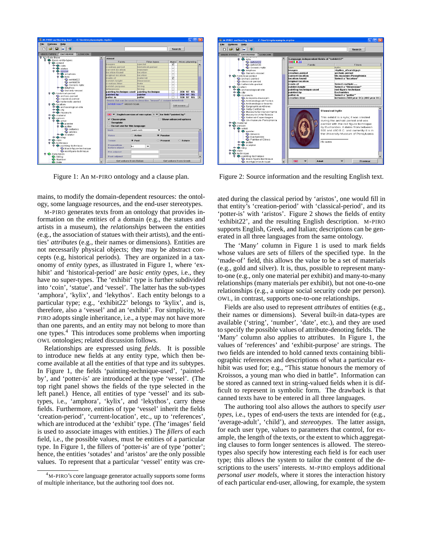

Figure 1: An M-PIRO ontology and a clause plan.

mains, to modify the domain-dependent resources: the ontology, some language resources, and the end-user stereotypes.

M-PIRO generates texts from an ontology that provides information on the *entities* of a domain (e.g., the statues and artists in a museum), the *relationships* between the entities (e.g., the association of statues with their artists), and the entities' *attributes* (e.g., their names or dimensions). Entities are not necessarily physical objects; they may be abstract concepts (e.g, historical periods). They are organized in a taxonomy of *entity types*, as illustrated in Figure 1, where 'exhibit' and 'historical-period' are *basic entity types*, i.e., they have no super-types. The 'exhibit' type is further subdivided into 'coin', 'statue', and 'vessel'. The latter has the sub-types 'amphora', 'kylix', and 'lekythos'. Each entity belongs to a particular type; e.g., 'exhibit22' belongs to 'kylix', and is, therefore, also a 'vessel' and an 'exhibit'. For simplicity, M-PIRO adopts single inheritance, i.e., a type may not have more than one parents, and an entity may not belong to more than one types.<sup>4</sup> This introduces some problems when importing OWL ontologies; related discussion follows.

Relationships are expressed using *fields*. It is possible to introduce new fields at any entity type, which then become available at all the entities of that type and its subtypes. In Figure 1, the fields 'painting-technique-used', 'paintedby', and 'potter-is' are introduced at the type 'vessel'. (The top right panel shows the fields of the type selected in the left panel.) Hence, all entities of type 'vessel' and its subtypes, i.e., 'amphora', 'kylix', and 'lekythos', carry these fields. Furthermore, entities of type 'vessel' inherit the fields 'creation-period', 'current-location', etc., up to 'references', which are introduced at the 'exhibit' type. (The 'images' field is used to associate images with entities.) The *fillers* of each field, i.e., the possible values, must be entities of a particular type. In Figure 1, the fillers of 'potter-is' are of type 'potter'; hence, the entities 'sotades' and 'aristos' are the only possible values. To represent that a particular 'vessel' entity was cre-



Figure 2: Source information and the resulting English text.

ated during the classical period by 'aristos', one would fill in that entity's 'creation-period' with 'classical-period', and its 'potter-is' with 'aristos'. Figure 2 shows the fields of entity 'exhibit22', and the resulting English description. M-PIRO supports English, Greek, and Italian; descriptions can be generated in all three languages from the same ontology.

The 'Many' column in Figure 1 is used to mark fields whose values are *sets* of fillers of the specified type. In the 'made-of' field, this allows the value to be a set of materials (e.g., gold and silver). It is, thus, possible to represent manyto-one (e.g., only one material per exhibit) and many-to-many relationships (many materials per exhibit), but not one-to-one relationships (e.g., a unique social security code per person). OWL, in contrast, supports one-to-one relationships.

Fields are also used to represent *attributes* of entities (e.g., their names or dimensions). Several built-in data-types are available ('string', 'number', 'date', etc.), and they are used to specify the possible values of attribute-denoting fields. The 'Many' column also applies to attributes. In Figure 1, the values of 'references' and 'exhibit-purpose' are strings. The two fields are intended to hold canned texts containing bibliographic references and descriptions of what a particular exhibit was used for; e.g., "This statue honours the memory of Kroissos, a young man who died in battle". Information can be stored as canned text in string-valued fields when it is difficult to represent in symbolic form. The drawback is that canned texts have to be entered in all three languages.

The authoring tool also allows the authors to specify *user types*, i.e., types of end-users the texts are intended for (e.g., 'average-adult', 'child'), and *stereotypes*. The latter assign, for each user type, values to parameters that control, for example, the length of the texts, or the extent to which aggregating clauses to form longer sentences is allowed. The stereotypes also specify how interesting each field is for each user type; this allows the system to tailor the content of the descriptions to the users' interests. M-PIRO employs additional *personal user models*, where it stores the interaction history of each particular end-user, allowing, for example, the system

<sup>4</sup>M-PIRO's core language generator actually supports some forms of multiple inheritance, but the authoring tool does not.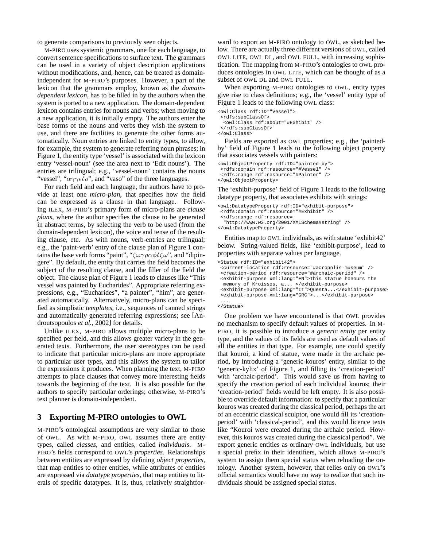to generate comparisons to previously seen objects.

M-PIRO uses systemic grammars, one for each language, to convert sentence specifications to surface text. The grammars can be used in a variety of object description applications without modifications, and, hence, can be treated as domainindependent for M-PIRO's purposes. However, a part of the lexicon that the grammars employ, known as the *domaindependent lexicon*, has to be filled in by the authors when the system is ported to a new application. The domain-dependent lexicon contains entries for nouns and verbs; when moving to a new application, it is initially empty. The authors enter the base forms of the nouns and verbs they wish the system to use, and there are facilities to generate the other forms automatically. Noun entries are linked to entity types, to allow, for example, the system to generate referring noun phrases; in Figure 1, the entity type 'vessel' is associated with the lexicon entry 'vessel-noun' (see the area next to 'Edit nouns'). The entries are trilingual; e.g., 'vessel-noun' contains the nouns "vessel", " $\alpha \gamma \gamma \epsilon \ell \omega$ ", and "vaso" of the three languages.

For each field and each language, the authors have to provide at least one *micro-plan*, that specifies how the field can be expressed as a clause in that language. Following ILEX, M-PIRO's primary form of micro-plans are *clause plans*, where the author specifies the clause to be generated in abstract terms, by selecting the verb to be used (from the domain-dependent lexicon), the voice and tense of the resulting clause, etc. As with nouns, verb-entries are trilingual; e.g., the 'paint-verb' entry of the clause plan of Figure 1 contains the base verb forms "paint", " $\zeta \omega \gamma \rho \alpha \phi \ell \zeta \omega$ ", and "dipingere". By default, the entity that carries the field becomes the subject of the resulting clause, and the filler of the field the object. The clause plan of Figure 1 leads to clauses like "This vessel was painted by Eucharides". Appropriate referring expressions, e.g., "Eucharides", "a painter", "him", are generated automatically. Alternatively, micro-plans can be specified as simplistic *templates*, i.e., sequences of canned strings and automatically generated referring expressions; see [Androutsopoulos *et al.*, 2002] for details.

Unlike ILEX, M-PIRO allows multiple micro-plans to be specified per field, and this allows greater variety in the generated texts. Furthermore, the user stereotypes can be used to indicate that particular micro-plans are more appropriate to particular user types, and this allows the system to tailor the expressions it produces. When planning the text, M-PIRO attempts to place clauses that convey more interesting fields towards the beginning of the text. It is also possible for the authors to specify particular orderings; otherwise, M-PIRO's text planner is domain-independent.

# **3 Exporting M-PIRO ontologies to OWL**

M-PIRO's ontological assumptions are very similar to those of OWL. As with M-PIRO, OWL assumes there are entity types, called *classes*, and entities, called *individuals*. M-PIRO's fields correspond to OWL's *properties*. Relationships between entities are expressed by defining *object properties*, that map entities to other entities, while attributes of entities are expressed via *datatype properties*, that map entities to literals of specific datatypes. It is, thus, relatively straightforward to export an M-PIRO ontology to OWL, as sketched below. There are actually three different versions of OWL, called OWL LITE, OWL DL, and OWL FULL, with increasing sophistication. The mapping from M-PIRO's ontologies to OWL produces ontologies in OWL LITE, which can be thought of as a subset of OWL DL and OWL FULL.

When exporting M-PIRO ontologies to OWL, entity types give rise to class definitions; e.g., the 'vessel' entity type of Figure 1 leads to the following OWL class:

<owl:Class rdf:ID="Vessel"> <rdfs:subClassOf>

```
<owl:Class rdf:about="#Exhibit" />
</rdfs:subClassOf>
```
</owl:Class>

Fields are exported as OWL properties; e.g., the 'paintedby' field of Figure 1 leads to the following object property that associates vessels with painters:

```
<owl:ObjectProperty rdf:ID="painted-by">
 <rdfs:domain rdf:resource="#Vessel" />
 <rdfs:range rdf:resource="#Painter" />
</owl:ObjectProperty>
```
The 'exhibit-purpose' field of Figure 1 leads to the following datatype property, that associates exhibits with strings:

```
<owl:DatatypeProperty rdf:ID="exhibit-purpose">
<rdfs:domain rdf:resource="#Exhibit" />
 <rdfs:range rdf:resource=
  "http://www.w3.org/2001/XMLSchema#string" />
</owl:DatatypeProperty>
```
Entities map to OWL individuals, as with statue 'exhibit42' below. String-valued fields, like 'exhibit-purpose', lead to properties with separate values per language.

```
<Statue rdf:ID="exhibit42">
```
<current-location rdf:resource="#acropolis-museum" /> <creation-period rdf:resource="#archaic-period" /> <exhibit-purpose xml:lang="EN">This statue honours the memory of Kroissos, a... </exhibit-purpose> <exhibit-purpose xml:lang="IT">Questa...</exhibit-purpose> <exhibit-purpose xml:lang="GRC">...</exhibit-purpose> ...

#### </Statue>

One problem we have encountered is that OWL provides no mechanism to specify default values of properties. In M-PIRO, it is possible to introduce a *generic entity* per entity type, and the values of its fields are used as default values of all the entities in that type. For example, one could specify that kouroi, a kind of statue, were made in the archaic period, by introducing a 'generic-kouros' entity, similar to the 'generic-kylix' of Figure 1, and filling its 'creation-period' with 'archaic-period'. This would save us from having to specify the creation period of each individual kouros; their 'creation-period' fields would be left empty. It is also possible to override default information: to specify that a particular kouros was created during the classical period, perhaps the art of an eccentric classical sculptor, one would fill its 'creationperiod' with 'classical-period', and this would licence texts like "Kouroi were created during the archaic period. However, this kouros was created during the classical period". We export generic entities as ordinary OWL individuals, but use a special prefix in their identifiers, which allows M-PIRO's system to assign them special status when reloading the ontology. Another system, however, that relies only on OWL's official semantics would have no way to realize that such individuals should be assigned special status.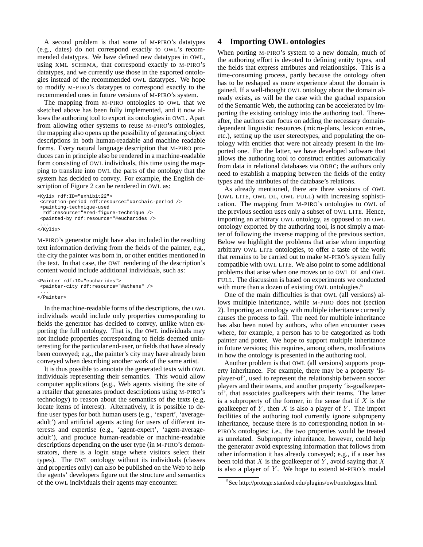A second problem is that some of M-PIRO's datatypes (e.g., dates) do not correspond exactly to OWL's recommended datatypes. We have defined new datatypes in OWL, using XML SCHEMA, that correspond exactly to M-PIRO's datatypes, and we currently use those in the exported ontologies instead of the recommended OWL datatypes. We hope to modify M-PIRO's datatypes to correspond exactly to the recommended ones in future versions of M-PIRO's system.

The mapping from M-PIRO ontologies to OWL that we sketched above has been fully implemented, and it now allows the authoring tool to export its ontologies in OWL. Apart from allowing other systems to reuse M-PIRO's ontologies, the mapping also opens up the possibility of generating object descriptions in both human-readable and machine readable forms. Every natural language description that M-PIRO produces can in principle also be rendered in a machine-readable form consisting of OWL individuals, this time using the mapping to translate into OWL the parts of the ontology that the system has decided to convey. For example, the English description of Figure 2 can be rendered in OWL as:

```
<Kylix rdf:ID="exhibit22">
 <creation-period rdf:resource="#archaic-period />
 <painting-technique-used
 rdf:resource="#red-figure-technique />
 <painted-by rdf:resource="#eucharides />
 ...
</Kylix>
```
M-PIRO's generator might have also included in the resulting text information deriving from the fields of the painter, e.g., the city the painter was born in, or other entities mentioned in the text. In that case, the OWL rendering of the description's content would include additional individuals, such as:

```
<Painter rdf:ID="eucharides">
 <painter-city rdf:resource="#athens" />
 ...
```
</Painter>

In the machine-readable forms of the descriptions, the OWL individuals would include only properties corresponding to fields the generator has decided to convey, unlike when exporting the full ontology. That is, the OWL individuals may not include properties corresponding to fields deemed uninteresting for the particular end-user, or fields that have already been conveyed; e.g., the painter's city may have already been conveyed when describing another work of the same artist.

It is thus possible to annotate the generated texts with OWL individuals representing their semantics. This would allow computer applications (e.g., Web agents visiting the site of a retailer that generates product descriptions using M-PIRO's technology) to reason about the semantics of the texts (e.g, locate items of interest). Alternatively, it is possible to define user types for both human users (e.g., 'expert', 'averageadult') and artificial agents acting for users of different interests and expertise (e.g., 'agent-expert', 'agent-averageadult'), and produce human-readable or machine-readable descriptions depending on the user type (in M-PIRO's demonstrators, there is a login stage where visitors select their types). The OWL ontology without its individuals (classes and properties only) can also be published on the Web to help the agents' developers figure out the structure and semantics of the OWL individuals their agents may encounter.

# **4 Importing OWL ontologies**

When porting M-PIRO's system to a new domain, much of the authoring effort is devoted to defining entity types, and the fields that express attributes and relationships. This is a time-consuming process, partly because the ontology often has to be reshaped as more experience about the domain is gained. If a well-thought OWL ontology about the domain already exists, as will be the case with the gradual expansion of the Semantic Web, the authoring can be accelerated by importing the existing ontology into the authoring tool. Thereafter, the authors can focus on adding the necessary domaindependent linguistic resources (micro-plans, lexicon entries, etc.), setting up the user stereotypes, and populating the ontology with entities that were not already present in the imported one. For the latter, we have developed software that allows the authoring tool to construct entities automatically from data in relational databases via ODBC; the authors only need to establish a mapping between the fields of the entity types and the attributes of the database's relations.

As already mentioned, there are three versions of OWL (OWL LITE, OWL DL, OWL FULL) with increasing sophistication. The mapping from M-PIRO's ontologies to OWL of the previous section uses only a subset of OWL LITE. Hence, importing an arbitrary OWL ontology, as opposed to an OWL ontology exported by the authoring tool, is not simply a matter of following the inverse mapping of the previous section. Below we highlight the problems that arise when importing arbitrary OWL LITE ontologies, to offer a taste of the work that remains to be carried out to make M-PIRO's system fully compatible with OWL LITE. We also point to some additional problems that arise when one moves on to OWL DL and OWL FULL. The discussion is based on experiments we conducted with more than a dozen of existing OWL ontologies.<sup>5</sup>

One of the main difficulties is that OWL (all versions) allows multiple inheritance, while M-PIRO does not (section 2). Importing an ontology with multiple inheritance currently causes the process to fail. The need for multiple inheritance has also been noted by authors, who often encounter cases where, for example, a person has to be categorized as both painter and potter. We hope to support multiple inheritance in future versions; this requires, among others, modifications in how the ontology is presented in the authoring tool.

Another problem is that OWL (all versions) supports property inheritance. For example, there may be a property 'isplayer-of', used to represent the relationship between soccer players and their teams, and another property 'is-goalkeeperof', that associates goalkeepers with their teams. The latter is a subproperty of the former, in the sense that if  $X$  is the goalkeeper of  $Y$ , then  $X$  is also a player of  $Y$ . The import facilities of the authoring tool currently ignore subproperty inheritance, because there is no corresponding notion in M-PIRO's ontologies; i.e., the two properties would be treated as unrelated. Subproperty inheritance, however, could help the generator avoid expressing information that follows from other information it has already conveyed; e.g., if a user has been told that  $X$  is the goalkeeper of  $Y$ , avoid saying that  $X$ is also a player of  $Y$ . We hope to extend M-PIRO's model

<sup>5</sup> See http://protege.stanford.edu/plugins/owl/ontologies.html.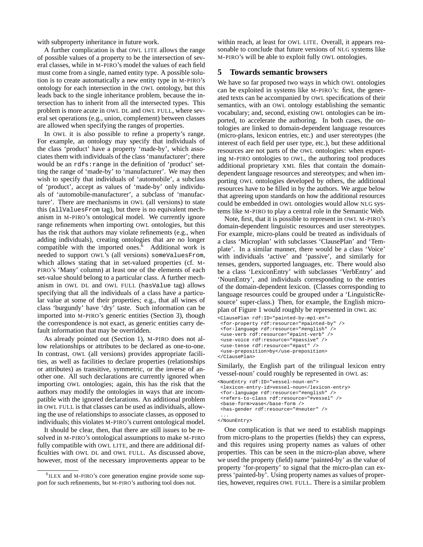with subproperty inheritance in future work.

A further complication is that OWL LITE allows the range of possible values of a property to be the intersection of several classes, while in M-PIRO's model the values of each field must come from a single, named entity type. A possible solution is to create automatically a new entity type in M-PIRO's ontology for each intersection in the OWL ontology, but this leads back to the single inheritance problem, because the intersection has to inherit from all the intersected types. This problem is more acute in OWL DL and OWL FULL, where several set operations (e.g., union, complement) between classes are allowed when specifying the ranges of properties.

In OWL it is also possible to refine a property's range. For example, an ontology may specify that individuals of the class 'product' have a property 'made-by', which associates them with individuals of the class 'manufacturer'; there would be an rdfs:range in the definition of 'product' setting the range of 'made-by' to 'manufacturer'. We may then wish to specify that individuals of 'automobile', a subclass of 'product', accept as values of 'made-by' only individuals of 'automobile-manufacturer', a subclass of 'manufacturer'. There are mechanisms in OWL (all versions) to state this (allValuesFrom tag), but there is no equivalent mechanism in M-PIRO's ontological model. We currently ignore range refinements when importing OWL ontologies, but this has the risk that authors may violate refinements (e.g., when adding individuals), creating ontologies that are no longer compatible with the imported ones.<sup>6</sup> Additional work is needed to support OWL's (all versions) someValuesFrom, which allows stating that in set-valued properties (cf. M-PIRO's 'Many' column) at least one of the elements of each set-value should belong to a particular class. A further mechanism in OWL DL and OWL FULL (hasValue tag) allows specifying that all the individuals of a class have a particular value at some of their properties; e.g., that all wines of class 'burgundy' have 'dry' taste. Such information can be imported into M-PIRO's generic entities (Section 3), though the correspondence is not exact, as generic entities carry default information that may be overridden.

As already pointed out (Section 1), M-PIRO does not allow relationships or attributes to be declared as one-to-one. In contrast, OWL (all versions) provides appropriate facilities, as well as facilities to declare properties (relationships or attributes) as transitive, symmetric, or the inverse of another one. All such declarations are currently ignored when importing OWL ontologies; again, this has the risk that the authors may modify the ontologies in ways that are incompatible with the ignored declarations. An additional problem in OWL FULL is that classes can be used as individuals, allowing the use of relationships to associate classes, as opposed to individuals; this violates M-PIRO's current ontological model.

It should be clear, then, that there are still issues to be resolved in M-PIRO's ontological assumptions to make M-PIRO fully compatible with OWL LITE, and there are additional difficulties with OWL DL and OWL FULL. As discussed above, however, most of the necessary improvements appear to be within reach, at least for OWL LITE. Overall, it appears reasonable to conclude that future versions of NLG systems like M-PIRO's will be able to exploit fully OWL ontologies.

# **5 Towards semantic browsers**

We have so far proposed two ways in which OWL ontologies can be exploited in systems like M-PIRO's: first, the generated texts can be accompanied by OWL specifications of their semantics, with an OWL ontology establishing the semantic vocabulary; and, second, existing OWL ontologies can be imported, to accelerate the authoring. In both cases, the ontologies are linked to domain-dependent language resources (micro-plans, lexicon entries, etc.) and user stereotypes (the interest of each field per user type, etc.), but these additional resources are not parts of the OWL ontologies: when exporting M-PIRO ontologies to OWL, the authoring tool produces additional proprietary XML files that contain the domaindependent language resources and stereotypes; and when importing OWL ontologies developed by others, the additional resources have to be filled in by the authors. We argue below that agreeing upon standards on how the additional resources could be embedded in OWL ontologies would allow NLG systems like M-PIRO to play a central role in the Semantic Web.

Note, first, that it is possible to represent in OWL M-PIRO's domain-dependent linguistic resources and user stereotypes. For example, micro-plans could be treated as individuals of a class 'Microplan' with subclasses 'ClausePlan' and 'Template'. In a similar manner, there would be a class 'Voice' with individuals 'active' and 'passive', and similarly for tenses, genders, supported languages, etc. There would also be a class 'LexiconEntry' with subclasses 'VerbEntry' and 'NounEntry', and individuals corresponding to the entries of the domain-dependent lexicon. (Classes corresponding to language resources could be grouped under a 'LinguisticResource' super-class.) Then, for example, the English microplan of Figure 1 would roughly be represented in OWL as:

```
<ClausePlan rdf:ID="painted-by-mp1-en">
<for-property rdf:resource="#painted-by" />
<for-language rdf:resource="#english" />
<use-verb rdf:resource="#paint-verb" />
 <use-voice rdf:resource="#passive" />
<use-tense rdf:resource="#past" />
<use-preposition>by</use-preposition>
</ClausePlan>
```
Similarly, the English part of the trilingual lexicon entry 'vessel-noun' could roughly be represented in OWL as:

```
<NounEntry rdf:ID="vessel-noun-en">
 <lexicon-entry-id>vessel-noun</lexicon-entry>
 <for-language rdf:resource="#english" />
 <refers-to-class rdf:resource="#vessel" />
 <base-form>vase</base-form />
 <has-gender rdf:resource="#neuter" />
 ...
```
</NounEntry>

One complication is that we need to establish mappings from micro-plans to the properties (fields) they can express, and this requires using property names as values of other properties. This can be seen in the micro-plan above, where we used the property (field) name 'painted-by' as the value of property 'for-property' to signal that the micro-plan can express 'painted-by'. Using property names as values of properties, however, requires OWL FULL. There is a similar problem

<sup>6</sup> ILEX and M-PIRO's core generation engine provide some support for such refinements, but M-PIRO's authoring tool does not.